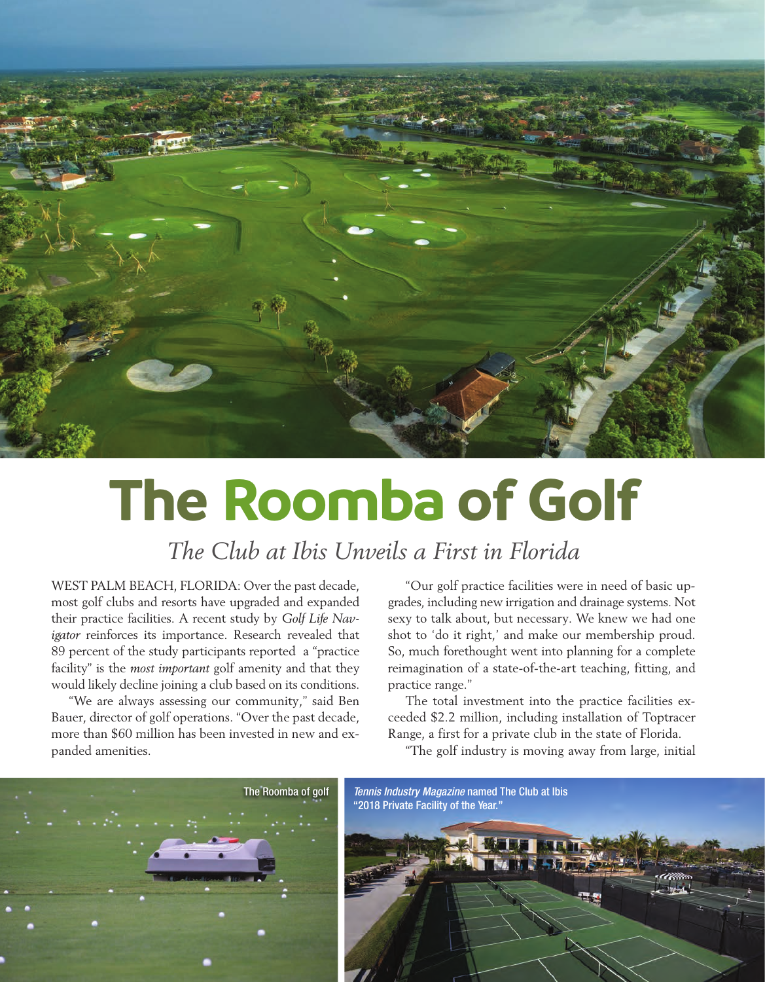

## **The Roomba of Golf**

*The Club at Ibis Unveils a First in Florida*

WEST PALM BEACH, FLORIDA: Over the past decade, most golf clubs and resorts have upgraded and expanded their practice facilities. A recent study by *Golf Life Navigator* reinforces its importance. Research revealed that 89 percent of the study participants reported a "practice facility" is the *most important* golf amenity and that they would likely decline joining a club based on its conditions.

"We are always assessing our community," said Ben Bauer, director of golf operations. "Over the past decade, more than \$60 million has been invested in new and expanded amenities.

"Our golf practice facilities were in need of basic upgrades, including new irrigation and drainage systems. Not sexy to talk about, but necessary. We knew we had one shot to 'do it right,' and make our membership proud. So, much forethought went into planning for a complete reimagination of a state-of-the-art teaching, fitting, and practice range."

The total investment into the practice facilities exceeded \$2.2 million, including installation of Toptracer Range, a first for a private club in the state of Florida.

"The golf industry is moving away from large, initial